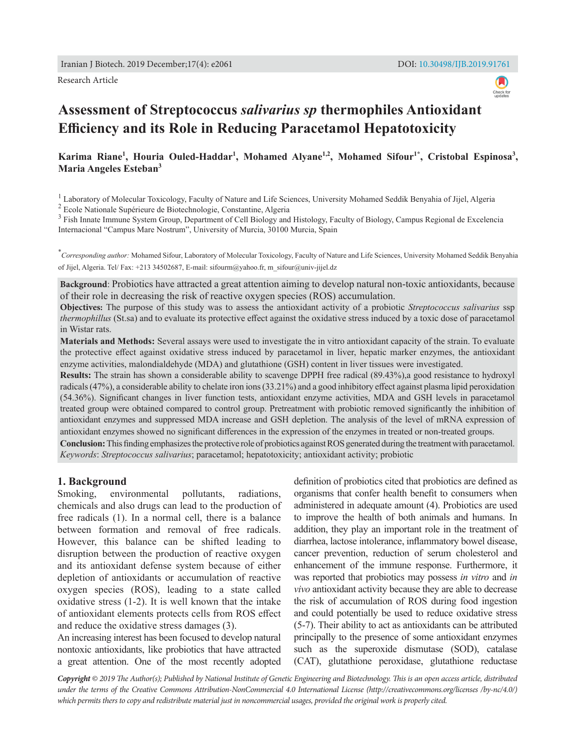Research Article



# **Assessment of Streptococcus** *salivarius sp* **thermophiles Antioxidant Efficiency and its Role in Reducing Paracetamol Hepatotoxicity**

Karima Riane<sup>1</sup>, Houria Ouled-Haddar<sup>1</sup>, Mohamed Alyane<sup>1,2</sup>, Mohamed Sifour<sup>1\*</sup>, Cristobal Espinosa<sup>3</sup>, **Maria Angeles Esteban<sup>3</sup>**

<sup>1</sup> Laboratory of Molecular Toxicology, Faculty of Nature and Life Sciences, University Mohamed Seddik Benyahia of Jijel, Algeria

<sup>2</sup> Ecole Nationale Supérieure de Biotechnologie, Constantine, Algeria

<sup>3</sup> Fish Innate Immune System Group, Department of Cell Biology and Histology, Faculty of Biology, Campus Regional de Excelencia Internacional "Campus Mare Nostrum", University of Murcia, 30100 Murcia, Spain

\* *Corresponding author:* Mohamed Sifour, Laboratory of Molecular Toxicology, Faculty of Nature and Life Sciences, University Mohamed Seddik Benyahia of Jijel, Algeria. Tel/ Fax: +213 34502687, E-mail: sifourm@yahoo.fr, m\_sifour@univ-jijel.dz

**Background**: Probiotics have attracted a great attention aiming to develop natural non-toxic antioxidants, because of their role in decreasing the risk of reactive oxygen species (ROS) accumulation.

**Objectives:** The purpose of this study was to assess the antioxidant activity of a probiotic *Streptococcus salivarius* ssp *thermophillus* (St.sa) and to evaluate its protective effect against the oxidative stress induced by a toxic dose of paracetamol in Wistar rats.

**Materials and Methods:** Several assays were used to investigate the in vitro antioxidant capacity of the strain. To evaluate the protective effect against oxidative stress induced by paracetamol in liver, hepatic marker enzymes, the antioxidant enzyme activities, malondialdehyde (MDA) and glutathione (GSH) content in liver tissues were investigated.

**Results:** The strain has shown a considerable ability to scavenge DPPH free radical (89.43%),a good resistance to hydroxyl radicals (47%), a considerable ability to chelate iron ions (33.21%) and a good inhibitory effect against plasma lipid peroxidation (54.36%). Significant changes in liver function tests, antioxidant enzyme activities, MDA and GSH levels in paracetamol treated group were obtained compared to control group. Pretreatment with probiotic removed significantly the inhibition of antioxidant enzymes and suppressed MDA increase and GSH depletion. The analysis of the level of mRNA expression of antioxidant enzymes showed no significant differences in the expression of the enzymes in treated or non-treated groups.

**Conclusion:** This finding emphasizes the protective role of probiotics against ROS generated during the treatment with paracetamol. *Keywords*: *Streptococcus salivarius*; paracetamol; hepatotoxicity; antioxidant activity; probiotic

## **1. Background**

Smoking, environmental pollutants, radiations, chemicals and also drugs can lead to the production of free radicals (1). In a normal cell, there is a balance between formation and removal of free radicals. However, this balance can be shifted leading to disruption between the production of reactive oxygen and its antioxidant defense system because of either depletion of antioxidants or accumulation of reactive oxygen species (ROS), leading to a state called oxidative stress (1-2). It is well known that the intake of antioxidant elements protects cells from ROS effect and reduce the oxidative stress damages (3).

An increasing interest has been focused to develop natural nontoxic antioxidants, like probiotics that have attracted a great attention. One of the most recently adopted definition of probiotics cited that probiotics are defined as organisms that confer health benefit to consumers when administered in adequate amount (4). Probiotics are used to improve the health of both animals and humans. In addition, they play an important role in the treatment of diarrhea, lactose intolerance, inflammatory bowel disease, cancer prevention, reduction of serum cholesterol and enhancement of the immune response. Furthermore, it was reported that probiotics may possess *in vitro* and *in vivo* antioxidant activity because they are able to decrease the risk of accumulation of ROS during food ingestion and could potentially be used to reduce oxidative stress (5-7). Their ability to act as antioxidants can be attributed principally to the presence of some antioxidant enzymes such as the superoxide dismutase (SOD), catalase (CAT), glutathione peroxidase, glutathione reductase

*Copyright © 2019 The Author(s); Published by National Institute of Genetic Engineering and Biotechnology. This is an open access article, distributed under the terms of the Creative Commons Attribution-NonCommercial 4.0 International License (http://creativecommons.org/licenses /by-nc/4.0/) which permits thers to copy and redistribute material just in noncommercial usages, provided the original work is properly cited.*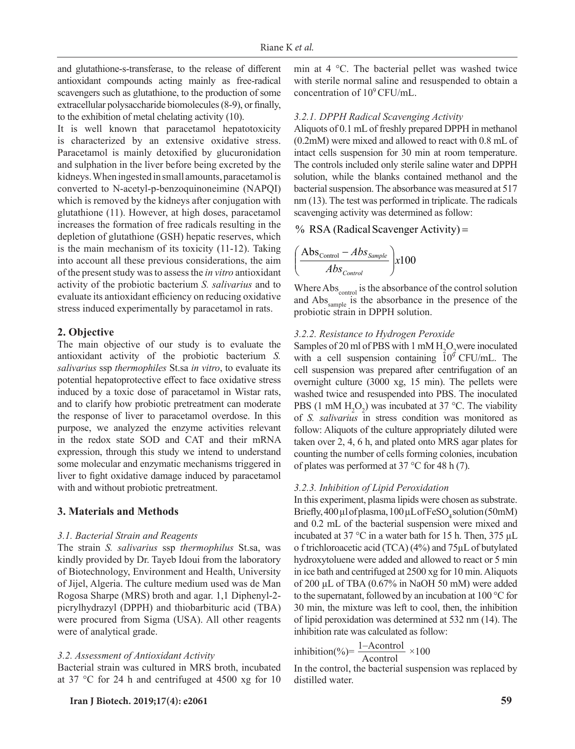and glutathione-s-transferase, to the release of different antioxidant compounds acting mainly as free-radical scavengers such as glutathione, to the production of some extracellular polysaccharide biomolecules (8-9), or finally, to the exhibition of metal chelating activity (10).

It is well known that paracetamol hepatotoxicity is characterized by an extensive oxidative stress. Paracetamol is mainly detoxified by glucuronidation and sulphation in the liver before being excreted by the kidneys. When ingested in small amounts, paracetamol is converted to N-acetyl-p-benzoquinoneimine (NAPQI) which is removed by the kidneys after conjugation with glutathione (11). However, at high doses, paracetamol increases the formation of free radicals resulting in the depletion of glutathione (GSH) hepatic reserves, which is the main mechanism of its toxicity (11-12). Taking into account all these previous considerations, the aim  $\frac{1}{1000}$ of the present study was to assess the *in vitro* antioxidant activity of the probiotic bacterium *S. salivarius* and to evaluate its antioxidant efficiency on reducing oxidative stress induced experimentally by paracetamol in rats.

## **2. Objective**

The main objective of our study is to evaluate the antioxidant activity of the probiotic bacterium *S. salivarius* ssp *thermophiles* St.sa *in vitro*, to evaluate its potential hepatoprotective effect to face oxidative stress induced by a toxic dose of paracetamol in Wistar rats, and to clarify how probiotic pretreatment can moderate the response of liver to paracetamol overdose. In this purpose, we analyzed the enzyme activities relevant in the redox state SOD and CAT and their mRNA expression, through this study we intend to understand some molecular and enzymatic mechanisms triggered in liver to fight oxidative damage induced by paracetamol with and without probiotic pretreatment.

## **3. Materials and Methods**

#### *3.1. Bacterial Strain and Reagents*

The strain *S. salivarius* ssp *thermophilus* St.sa, was kindly provided by Dr. Tayeb Idoui from the laboratory of Biotechnology, Environment and Health, University of Jijel, Algeria. The culture medium used was de Man Rogosa Sharpe (MRS) broth and agar. 1,1 Diphenyl-2 picrylhydrazyl (DPPH) and thiobarbituric acid (TBA) were procured from Sigma (USA). All other reagents were of analytical grade.

## *3.2. Assessment of Antioxidant Activity*

Bacterial strain was cultured in MRS broth, incubated at 37 °C for 24 h and centrifuged at 4500 xg for 10

**Iran J Biotech. 2019;17(4): e2061 59**

min at 4 °C. The bacterial pellet was washed twice with sterile normal saline and resuspended to obtain a concentration of  $10^9$  CFU/mL.

## *3.2.1. DPPH Radical Scavenging Activity*

Aliquots of 0.1 mL of freshly prepared DPPH in methanol (0.2mM) were mixed and allowed to react with 0.8 mL of intact cells suspension for 30 min at room temperature. The controls included only sterile saline water and DPPH solution, while the blanks contained methanol and the bacterial suspension. The absorbance was measured at 517 nm (13). The test was performed in triplicate. The radicals scavenging activity was determined as follow: <sup>−</sup> <sup>=</sup>

% RSA (Radical Scavenger Activity) =

$$
\left(\frac{\text{Abs}_{\text{Control}} - Abs_{\text{Sample}}}{Abs_{\text{Control}}}\right) \times 100
$$

Where Abs<sub>control</sub> is the absorbance of the control solution and Abs<sub>sample</sub> is the absorbance in the presence of the probiotic strain in DPPH solution.

# *3.2.2. Resistance to Hydrogen Peroxide*

Samples of 20 ml of PBS with 1 mM  $H_2O_2$  were inoculated with a cell suspension containing  $10^{\circ}$  CFU/mL. The cell suspension was prepared after centrifugation of an overnight culture (3000 xg, 15 min). The pellets were washed twice and resuspended into PBS. The inoculated PBS (1 mM  $H_2O_2$ ) was incubated at 37 °C. The viability of *S. salivarius* in stress condition was monitored as follow: Aliquots of the culture appropriately diluted were taken over 2, 4, 6 h, and plated onto MRS agar plates for counting the number of cells forming colonies, incubation of plates was performed at 37 °C for 48 h (7).

#### *3.2.3. Inhibition of Lipid Peroxidation*

In this experiment, plasma lipids were chosen as substrate. Briefly, 400 µl of plasma, 100 µL of FeSO<sub>4</sub> solution (50mM) and 0.2 mL of the bacterial suspension were mixed and incubated at 37 °C in a water bath for 15 h. Then, 375 µL o f trichloroacetic acid (TCA) (4%) and 75µL of butylated hydroxytoluene were added and allowed to react or 5 min in ice bath and centrifuged at 2500 xg for 10 min. Aliquots of 200 µL of TBA (0.67% in NaOH 50 mM) were added to the supernatant, followed by an incubation at 100 °C for 30 min, the mixture was left to cool, then, the inhibition of lipid peroxidation was determined at 532 nm (14). The inhibition rate was calculated as follow:

$$
inhibition(\%)=\frac{1-\text{Acontrol}}{\text{Acontrol}} \times 100
$$

In the control, the bacterial suspension was replaced by distilled water.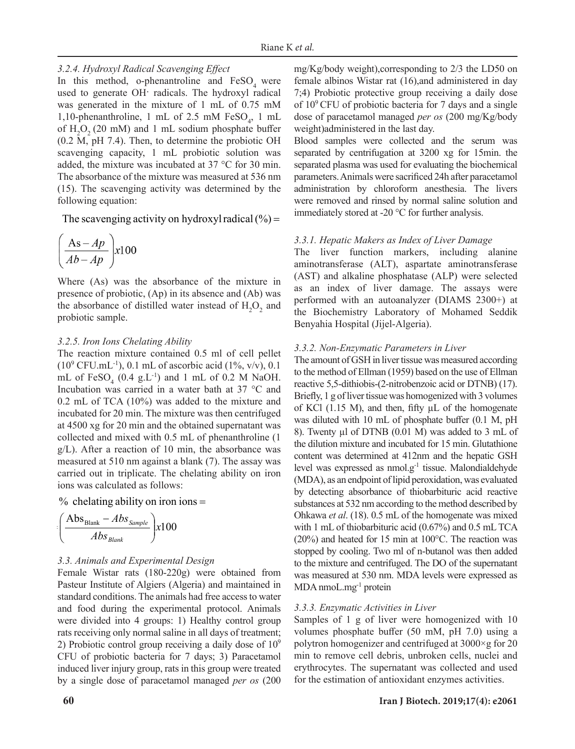## *3.2.4. Hydroxyl Radical Scavenging Effect*

In this method, o-phenantroline and FeSO<sub>4</sub> were used to generate OH· radicals. The hydroxyl radical was generated in the mixture of 1 mL of 0.75 mM 1,10-phenanthroline, 1 mL of 2.5 mM  $FeSO_4$ , 1 mL of  $H_2O_2$  (20 mM) and 1 mL sodium phosphate buffer (0.2 M, pH 7.4). Then, to determine the probiotic OH scavenging capacity, 1 mL probiotic solution was added, the mixture was incubated at 37 °C for 30 min. The absorbance of the mixture was measured at 536 nm (15). The scavenging activity was determined by the following equation:

The scavenging activity on hydroxyl radical  $(\% )$  =

$$
\left(\frac{As-Ap}{Ab-Ap}\right) x100
$$

Where (As) was the absorbance of the mixture in presence of probiotic, (Ap) in its absence and (Ab) was the absorbance of distilled water instead of  $H_2O_2$  and probiotic sample.

#### *3.2.5. Iron Ions Chelating Ability*

The reaction mixture contained 0.5 ml of cell pellet  $(10^9 \text{ CFU.mL}^{-1}), 0.1 \text{ mL of ascorbic acid } (1\%, v/v), 0.1 \text{ m}^{-1}$ mL of  $FeSO_4$  (0.4 g.L<sup>-1</sup>) and 1 mL of 0.2 M NaOH. Incubation was carried in a water bath at 37 °C and 0.2 mL of TCA (10%) was added to the mixture and incubated for 20 min. The mixture was then centrifuged at 4500 xg for 20 min and the obtained supernatant was collected and mixed with 0.5 mL of phenanthroline (1  $g/L$ ). After a reaction of 10 min, the absorbance was measured at 510 nm against a blank (7). The assay was carried out in triplicate. The chelating ability on iron ions was calculated as follows: <sup>−</sup> <sup>=</sup>

% chelating ability on iron ions  $=$ 

$$
\left(\frac{\text{Abs}_{\text{Blank}}-Abs_{\text{Sample}}}{Abs_{\text{Blank}}}\right) \text{x}100
$$

#### *3.3. Animals and Experimental Design*

Female Wistar rats (180-220g) were obtained from Pasteur Institute of Algiers (Algeria) and maintained in standard conditions. The animals had free access to water and food during the experimental protocol. Animals were divided into 4 groups: 1) Healthy control group rats receiving only normal saline in all days of treatment; 2) Probiotic control group receiving a daily dose of  $10<sup>9</sup>$ CFU of probiotic bacteria for 7 days; 3) Paracetamol induced liver injury group, rats in this group were treated by a single dose of paracetamol managed *per os* (200 mg/Kg/body weight),corresponding to 2/3 the LD50 on female albinos Wistar rat (16),and administered in day 7;4) Probiotic protective group receiving a daily dose of  $10^9$  CFU of probiotic bacteria for 7 days and a single dose of paracetamol managed *per os* (200 mg/Kg/body weight)administered in the last day.

= immediately stored at -20 °C for further analysis. Blood samples were collected and the serum was separated by centrifugation at 3200 xg for 15min. the separated plasma was used for evaluating the biochemical parameters. Animals were sacrificed 24h after paracetamol administration by chloroform anesthesia. The livers were removed and rinsed by normal saline solution and

## *3.3.1. Hepatic Makers as Index of Liver Damage*

The liver function markers, including alanine aminotransferase (ALT), aspartate aminotransferase (AST) and alkaline phosphatase (ALP) were selected as an index of liver damage. The assays were performed with an autoanalyzer (DIAMS 2300+) at the Biochemistry Laboratory of Mohamed Seddik Benyahia Hospital (Jijel-Algeria).

## *3.3.2. Non-Enzymatic Parameters in Liver*

substances at 532 nm according to the method described by Ohkawa *et al*. (18). 0.5 mL of the homogenate was mixed by detecting absorbance of thiobarbituric acid reactive The amount of GSH in liver tissue was measured according to the method of Ellman (1959) based on the use of Ellman reactive 5,5-dithiobis-(2-nitrobenzoic acid or DTNB) (17). Briefly, 1 g of liver tissue was homogenized with 3 volumes of KCl (1.15 M), and then, fifty µL of the homogenate was diluted with 10 mL of phosphate buffer (0.1 M, pH 8). Twenty µl of DTNB (0.01 M) was added to 3 mL of the dilution mixture and incubated for 15 min. Glutathione content was determined at 412nm and the hepatic GSH level was expressed as nmol.g-1 tissue. Malondialdehyde (MDA), as an endpoint of lipid peroxidation, was evaluated with 1 mL of thiobarbituric acid (0.67%) and 0.5 mL TCA (20%) and heated for 15 min at 100°C. The reaction was stopped by cooling. Two ml of n-butanol was then added to the mixture and centrifuged. The DO of the supernatant was measured at 530 nm. MDA levels were expressed as MDA nmoL.mg-1 protein

## *3.3.3. Enzymatic Activities in Liver*

Samples of 1 g of liver were homogenized with 10 volumes phosphate buffer (50 mM, pH 7.0) using a polytron homogenizer and centrifuged at 3000×g for 20 min to remove cell debris, unbroken cells, nuclei and erythrocytes. The supernatant was collected and used for the estimation of antioxidant enzymes activities.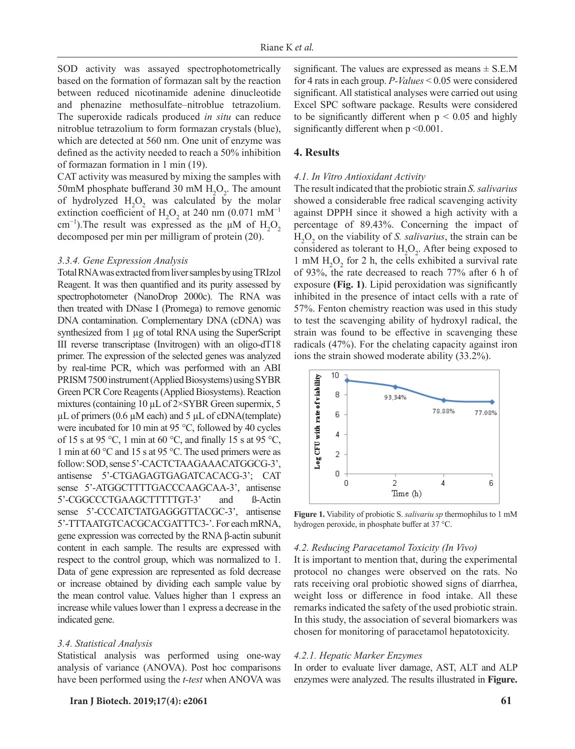SOD activity was assayed spectrophotometrically based on the formation of formazan salt by the reaction between reduced nicotinamide adenine dinucleotide and phenazine methosulfate–nitroblue tetrazolium. The superoxide radicals produced *in situ* can reduce nitroblue tetrazolium to form formazan crystals (blue), which are detected at 560 nm. One unit of enzyme was defined as the activity needed to reach a 50% inhibition of formazan formation in 1 min (19).

CAT activity was measured by mixing the samples with 50mM phosphate bufferand 30 mM  $H_2O_2$ . The amount of hydrolyzed  $H_2O_2$  was calculated by the molar extinction coefficient of  $H_2O_2$  at 240 nm (0.071 mM<sup>-1</sup> cm<sup>-1</sup>). The result was expressed as the  $\mu$ M of H<sub>2</sub>O<sub>2</sub> decomposed per min per milligram of protein (20).

#### *3.3.4. Gene Expression Analysis*

Total RNA was extracted from liver samples by using TRIzol Reagent. It was then quantified and its purity assessed by spectrophotometer (NanoDrop 2000c). The RNA was then treated with DNase I (Promega) to remove genomic DNA contamination. Complementary DNA (cDNA) was synthesized from 1 µg of total RNA using the SuperScript III reverse transcriptase (Invitrogen) with an oligo-dT18 primer. The expression of the selected genes was analyzed by real-time PCR, which was performed with an ABI PRISM 7500 instrument (Applied Biosystems) using SYBR Green PCR Core Reagents (Applied Biosystems). Reaction mixtures (containing 10  $\mu$ L of 2×SYBR Green supermix, 5  $\mu$ L of primers (0.6  $\mu$ M each) and 5  $\mu$ L of cDNA(template) were incubated for 10 min at 95 °C, followed by 40 cycles of 15 s at 95 °C, 1 min at 60 °C, and finally 15 s at 95 °C, 1 min at 60 °C and 15 s at 95 °C. The used primers were as follow: SOD, sense 5'-CACTCTAAGAAACATGGCG-3', antisense 5'-CTGAGAGTGAGATCACACG-3'; CAT sense 5'-ATGGCTTTTGACCCAAGCAA-3', antisense 5'-CGGCCCTGAAGCTTTTTGT-3' and ß-Actin sense 5'-CCCATCTATGAGGGTTACGC-3', antisense 5'-TTTAATGTCACGCACGATTTC3-'. For each mRNA, gene expression was corrected by the RNA β-actin subunit content in each sample. The results are expressed with respect to the control group, which was normalized to 1. Data of gene expression are represented as fold decrease or increase obtained by dividing each sample value by the mean control value. Values higher than 1 express an increase while values lower than 1 express a decrease in the indicated gene.

#### *3.4. Statistical Analysis*

Statistical analysis was performed using one-way analysis of variance (ANOVA). Post hoc comparisons have been performed using the *t-test* when ANOVA was

**Iran J Biotech. 2019;17(4): e2061 61**

significant. The values are expressed as means  $\pm$  S.E.M for 4 rats in each group. *P-Values* < 0.05 were considered significant. All statistical analyses were carried out using Excel SPC software package. Results were considered to be significantly different when  $p \le 0.05$  and highly significantly different when  $p \le 0.001$ .

## **4. Results**

#### *4.1. In Vitro Antioxidant Activity*

The result indicated that the probiotic strain *S. salivarius*  showed a considerable free radical scavenging activity against DPPH since it showed a high activity with a percentage of 89.43%. Concerning the impact of  $H_2O_2$  on the viability of *S. salivarius*, the strain can be considered as tolerant to  $H_2O_2$ . After being exposed to 1 mM  $H_2O_2$  for 2 h, the cells exhibited a survival rate of 93%, the rate decreased to reach 77% after 6 h of exposure **(Fig. 1)**. Lipid peroxidation was significantly inhibited in the presence of intact cells with a rate of 57%. Fenton chemistry reaction was used in this study to test the scavenging ability of hydroxyl radical, the strain was found to be effective in scavenging these radicals (47%). For the chelating capacity against iron ions the strain showed moderate ability (33.2%).



**Figure 1.** Viability of probiotic S. *salivariu sp* thermophilus to 1 mM hydrogen peroxide, in phosphate buffer at 37 °C.

#### *4.2. Reducing Paracetamol Toxicity (In Vivo)*

It is important to mention that, during the experimental protocol no changes were observed on the rats. No rats receiving oral probiotic showed signs of diarrhea, weight loss or difference in food intake. All these remarks indicated the safety of the used probiotic strain. In this study, the association of several biomarkers was chosen for monitoring of paracetamol hepatotoxicity.

## *4.2.1. Hepatic Marker Enzymes*

In order to evaluate liver damage, AST, ALT and ALP enzymes were analyzed. The results illustrated in **Figure.**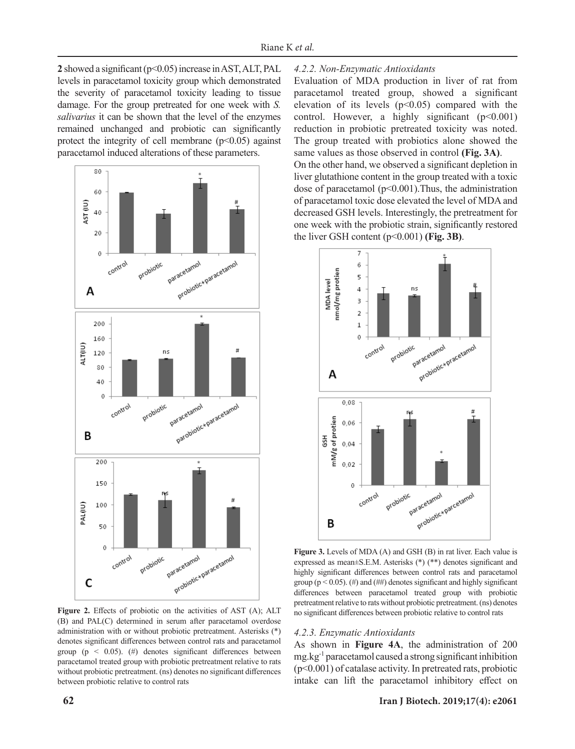**2** showed a significant (p<0.05) increase in AST, ALT, PAL levels in paracetamol toxicity group which demonstrated the severity of paracetamol toxicity leading to tissue damage. For the group pretreated for one week with *S. salivarius* it can be shown that the level of the enzymes remained unchanged and probiotic can significantly protect the integrity of cell membrane  $(p<0.05)$  against paracetamol induced alterations of these parameters.



**Figure 2.** Effects of probiotic on the activities of AST (A); ALT (B) and PAL(C) determined in serum after paracetamol overdose administration with or without probiotic pretreatment. Asterisks (\*) denotes significant differences between control rats and paracetamol group ( $p \leq 0.05$ ). (#) denotes significant differences between paracetamol treated group with probiotic pretreatment relative to rats without probiotic pretreatment. (ns) denotes no significant differences between probiotic relative to control rats

# *4.2.2. Non-Enzymatic Antioxidants*

Evaluation of MDA production in liver of rat from paracetamol treated group, showed a significant elevation of its levels  $(p<0.05)$  compared with the control. However, a highly significant  $(p<0.001)$ reduction in probiotic pretreated toxicity was noted. The group treated with probiotics alone showed the same values as those observed in control **(Fig. 3A)**.

On the other hand, we observed a significant depletion in liver glutathione content in the group treated with a toxic dose of paracetamol (p<0.001).Thus, the administration of paracetamol toxic dose elevated the level of MDA and decreased GSH levels. Interestingly, the pretreatment for one week with the probiotic strain, significantly restored the liver GSH content  $(p<0.001)$  (Fig. 3B).



**Figure 3.** Levels of MDA (A) and GSH (B) in rat liver. Each value is expressed as mean±S.E.M. Asterisks (\*) (\*\*) denotes significant and highly significant differences between control rats and paracetamol group ( $p < 0.05$ ). (#) and (##) denotes significant and highly significant differences between paracetamol treated group with probiotic pretreatment relative to rats without probiotic pretreatment. (ns) denotes no significant differences between probiotic relative to control rats

## *4.2.3. Enzymatic Antioxidants*

As shown in **Figure 4A**, the administration of 200 mg.kg-1 paracetamol caused a strong significant inhibition (p<0.001) of catalase activity. In pretreated rats, probiotic intake can lift the paracetamol inhibitory effect on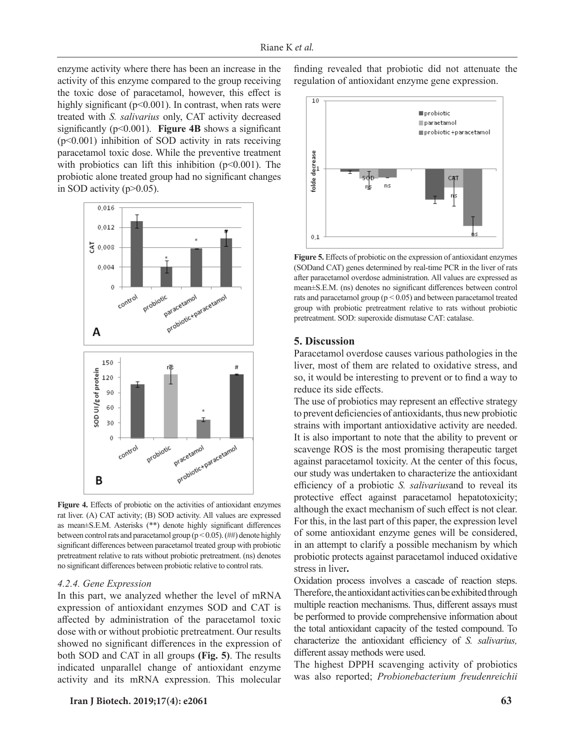enzyme activity where there has been an increase in the activity of this enzyme compared to the group receiving the toxic dose of paracetamol, however, this effect is highly significant ( $p<0.001$ ). In contrast, when rats were treated with *S. salivarius* only, CAT activity decreased significantly (p<0.001). **Figure 4B** shows a significant (p<0.001) inhibition of SOD activity in rats receiving paracetamol toxic dose. While the preventive treatment with probiotics can lift this inhibition  $(p<0.001)$ . The probiotic alone treated group had no significant changes in SOD activity  $(p>0.05)$ .



**Figure 4.** Effects of probiotic on the activities of antioxidant enzymes rat liver. (A) CAT activity; (B) SOD activity. All values are expressed as mean±S.E.M. Asterisks (\*\*) denote highly significant differences between control rats and paracetamol group ( $p < 0.05$ ). (##) denote highly significant differences between paracetamol treated group with probiotic pretreatment relative to rats without probiotic pretreatment. (ns) denotes no significant differences between probiotic relative to control rats.

## *4.2.4. Gene Expression*

In this part, we analyzed whether the level of mRNA expression of antioxidant enzymes SOD and CAT is affected by administration of the paracetamol toxic dose with or without probiotic pretreatment. Our results showed no significant differences in the expression of both SOD and CAT in all groups **(Fig. 5)**. The results indicated unparallel change of antioxidant enzyme activity and its mRNA expression. This molecular finding revealed that probiotic did not attenuate the regulation of antioxidant enzyme gene expression.



**Figure 5.** Effects of probiotic on the expression of antioxidant enzymes (SODand CAT) genes determined by real-time PCR in the liver of rats after paracetamol overdose administration. All values are expressed as mean±S.E.M. (ns) denotes no significant differences between control rats and paracetamol group ( $p < 0.05$ ) and between paracetamol treated group with probiotic pretreatment relative to rats without probiotic pretreatment. SOD: superoxide dismutase CAT: catalase.

## **5. Discussion**

Paracetamol overdose causes various pathologies in the liver, most of them are related to oxidative stress, and so, it would be interesting to prevent or to find a way to reduce its side effects.

The use of probiotics may represent an effective strategy to prevent deficiencies of antioxidants, thus new probiotic strains with important antioxidative activity are needed. It is also important to note that the ability to prevent or scavenge ROS is the most promising therapeutic target against paracetamol toxicity. At the center of this focus, our study was undertaken to characterize the antioxidant efficiency of a probiotic *S. salivarius*and to reveal its protective effect against paracetamol hepatotoxicity; although the exact mechanism of such effect is not clear. For this, in the last part of this paper, the expression level of some antioxidant enzyme genes will be considered, in an attempt to clarify a possible mechanism by which probiotic protects against paracetamol induced oxidative stress in liver**.**

Oxidation process involves a cascade of reaction steps. Therefore, the antioxidant activities can be exhibited through multiple reaction mechanisms. Thus, different assays must be performed to provide comprehensive information about the total antioxidant capacity of the tested compound. To characterize the antioxidant efficiency of *S. salivarius,*  different assay methods were used.

The highest DPPH scavenging activity of probiotics was also reported; *Probionebacterium freudenreichii*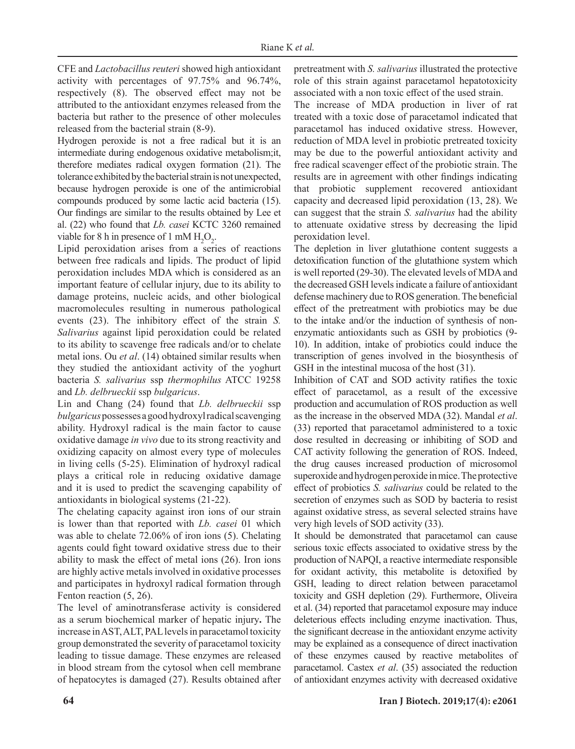CFE and *Lactobacillus reuteri* showed high antioxidant activity with percentages of 97.75% and 96.74%, respectively (8). The observed effect may not be attributed to the antioxidant enzymes released from the bacteria but rather to the presence of other molecules released from the bacterial strain (8-9).

Hydrogen peroxide is not a free radical but it is an intermediate during endogenous oxidative metabolism;it, therefore mediates radical oxygen formation (21). The tolerance exhibited by the bacterial strain is not unexpected, because hydrogen peroxide is one of the antimicrobial compounds produced by some lactic acid bacteria (15). Our findings are similar to the results obtained by Lee et al. (22) who found that *Lb. casei* KCTC 3260 remained viable for 8 h in presence of 1 mM  $H_2O_2$ .

Lipid peroxidation arises from a series of reactions between free radicals and lipids. The product of lipid peroxidation includes MDA which is considered as an important feature of cellular injury, due to its ability to damage proteins, nucleic acids, and other biological macromolecules resulting in numerous pathological events (23). The inhibitory effect of the strain *S. Salivarius* against lipid peroxidation could be related to its ability to scavenge free radicals and/or to chelate metal ions. Ou *et al*. (14) obtained similar results when they studied the antioxidant activity of the yoghurt bacteria *S. salivarius* ssp *thermophilus* ATCC 19258 and *Lb. delbrueckii* ssp *bulgaricus*.

Lin and Chang (24) found that *Lb. delbrueckii* ssp *bulgaricus* possesses a good hydroxyl radical scavenging ability. Hydroxyl radical is the main factor to cause oxidative damage *in vivo* due to its strong reactivity and oxidizing capacity on almost every type of molecules in living cells (5-25). Elimination of hydroxyl radical plays a critical role in reducing oxidative damage and it is used to predict the scavenging capability of antioxidants in biological systems (21-22).

The chelating capacity against iron ions of our strain is lower than that reported with *Lb. casei* 01 which was able to chelate 72.06% of iron ions (5). Chelating agents could fight toward oxidative stress due to their ability to mask the effect of metal ions (26). Iron ions are highly active metals involved in oxidative processes and participates in hydroxyl radical formation through Fenton reaction (5, 26).

The level of aminotransferase activity is considered as a serum biochemical marker of hepatic injury**.** The increase in AST, ALT, PAL levels in paracetamol toxicity group demonstrated the severity of paracetamol toxicity leading to tissue damage. These enzymes are released in blood stream from the cytosol when cell membrane of hepatocytes is damaged (27). Results obtained after pretreatment with *S. salivarius* illustrated the protective role of this strain against paracetamol hepatotoxicity associated with a non toxic effect of the used strain.

The increase of MDA production in liver of rat treated with a toxic dose of paracetamol indicated that paracetamol has induced oxidative stress. However, reduction of MDA level in probiotic pretreated toxicity may be due to the powerful antioxidant activity and free radical scavenger effect of the probiotic strain. The results are in agreement with other findings indicating that probiotic supplement recovered antioxidant capacity and decreased lipid peroxidation (13, 28). We can suggest that the strain *S. salivarius* had the ability to attenuate oxidative stress by decreasing the lipid peroxidation level.

The depletion in liver glutathione content suggests a detoxification function of the glutathione system which is well reported (29-30). The elevated levels of MDA and the decreased GSH levels indicate a failure of antioxidant defense machinery due to ROS generation. The beneficial effect of the pretreatment with probiotics may be due to the intake and/or the induction of synthesis of nonenzymatic antioxidants such as GSH by probiotics (9- 10). In addition, intake of probiotics could induce the transcription of genes involved in the biosynthesis of GSH in the intestinal mucosa of the host (31).

Inhibition of CAT and SOD activity ratifies the toxic effect of paracetamol, as a result of the excessive production and accumulation of ROS production as well as the increase in the observed MDA (32). Mandal *et al*. (33) reported that paracetamol administered to a toxic dose resulted in decreasing or inhibiting of SOD and CAT activity following the generation of ROS. Indeed, the drug causes increased production of microsomol superoxide and hydrogen peroxide in mice. The protective effect of probiotics *S. salivarius* could be related to the secretion of enzymes such as SOD by bacteria to resist against oxidative stress, as several selected strains have very high levels of SOD activity (33).

It should be demonstrated that paracetamol can cause serious toxic effects associated to oxidative stress by the production of NAPQI, a reactive intermediate responsible for oxidant activity, this metabolite is detoxified by GSH, leading to direct relation between paracetamol toxicity and GSH depletion (29). Furthermore, Oliveira et al. (34) reported that paracetamol exposure may induce deleterious effects including enzyme inactivation. Thus, the significant decrease in the antioxidant enzyme activity may be explained as a consequence of direct inactivation of these enzymes caused by reactive metabolites of paracetamol. Castex *et al*. (35) associated the reduction of antioxidant enzymes activity with decreased oxidative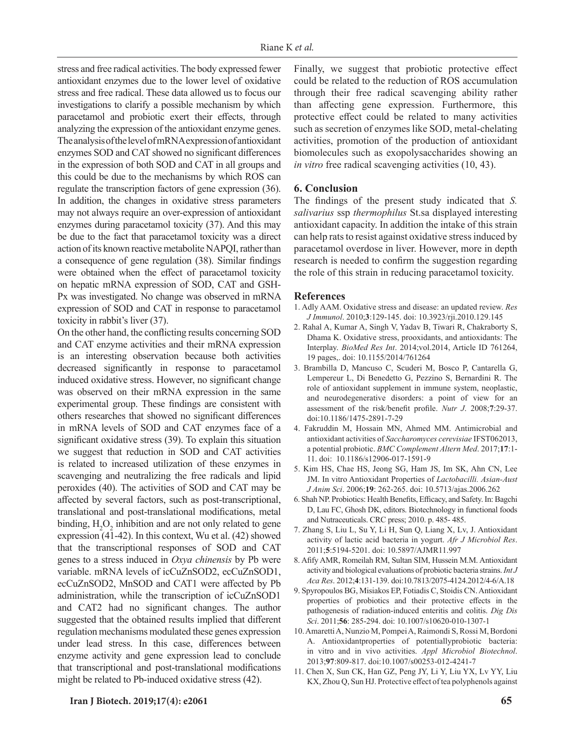stress and free radical activities. The body expressed fewer antioxidant enzymes due to the lower level of oxidative stress and free radical. These data allowed us to focus our investigations to clarify a possible mechanism by which paracetamol and probiotic exert their effects, through analyzing the expression of the antioxidant enzyme genes. The analysis of the level of mRNA expression of antioxidant enzymes SOD and CAT showed no significant differences in the expression of both SOD and CAT in all groups and this could be due to the mechanisms by which ROS can regulate the transcription factors of gene expression (36). In addition, the changes in oxidative stress parameters may not always require an over-expression of antioxidant enzymes during paracetamol toxicity (37). And this may be due to the fact that paracetamol toxicity was a direct action of its known reactive metabolite NAPQI, rather than a consequence of gene regulation (38). Similar findings were obtained when the effect of paracetamol toxicity on hepatic mRNA expression of SOD, CAT and GSH-Px was investigated. No change was observed in mRNA expression of SOD and CAT in response to paracetamol toxicity in rabbit's liver (37).

On the other hand, the conflicting results concerning SOD and CAT enzyme activities and their mRNA expression is an interesting observation because both activities decreased significantly in response to paracetamol induced oxidative stress. However, no significant change was observed on their mRNA expression in the same experimental group. These findings are consistent with others researches that showed no significant differences in mRNA levels of SOD and CAT enzymes face of a significant oxidative stress (39). To explain this situation we suggest that reduction in SOD and CAT activities is related to increased utilization of these enzymes in scavenging and neutralizing the free radicals and lipid peroxides (40). The activities of SOD and CAT may be affected by several factors, such as post-transcriptional, translational and post-translational modifications, metal binding,  $H_2O_2$  inhibition and are not only related to gene expression (41-42). In this context, Wu et al. (42) showed that the transcriptional responses of SOD and CAT genes to a stress induced in *Oxya chinensis* by Pb were variable. mRNA levels of icCuZnSOD2, ecCuZnSOD1, ecCuZnSOD2, MnSOD and CAT1 were affected by Pb administration, while the transcription of icCuZnSOD1 and CAT2 had no significant changes. The author suggested that the obtained results implied that different regulation mechanisms modulated these genes expression under lead stress. In this case, differences between enzyme activity and gene expression lead to conclude that transcriptional and post-translational modifications might be related to Pb-induced oxidative stress (42).

**Iran J Biotech. 2019;17(4): e2061 65**

Finally, we suggest that probiotic protective effect could be related to the reduction of ROS accumulation through their free radical scavenging ability rather than affecting gene expression. Furthermore, this protective effect could be related to many activities such as secretion of enzymes like SOD, metal-chelating activities, promotion of the production of antioxidant biomolecules such as exopolysaccharides showing an *in vitro* free radical scavenging activities (10, 43).

# **6. Conclusion**

The findings of the present study indicated that *S. salivarius* ssp *thermophilus* St.sa displayed interesting antioxidant capacity. In addition the intake of this strain can help rats to resist against oxidative stress induced by paracetamol overdose in liver. However, more in depth research is needed to confirm the suggestion regarding the role of this strain in reducing paracetamol toxicity.

#### **References**

- 1. Adly AAM. Oxidative stress and disease: an updated review. *Res J Immunol*. 2010;**3**:129-145. doi: [10.3923/rji.2010.129.145](http://dx.doi.org/10.3923/rji.2010.129.145)
- 2. Rahal A, Kumar A, Singh V, Yadav B, Tiwari R, Chakraborty S, Dhama K. Oxidative stress, prooxidants, and antioxidants: The Interplay. *BioMed Res Int*. 2014;vol.2014, Article ID 761264, 19 pages,. doi: 10.1155/2014/761264
- 3. [Brambilla](https://www.ncbi.nlm.nih.gov/pubmed/?term=Brambilla%20D%5BAuthor%5D&cauthor=true&cauthor_uid=18826565) D, [Mancuso](https://www.ncbi.nlm.nih.gov/pubmed/?term=Mancuso%20C%5BAuthor%5D&cauthor=true&cauthor_uid=18826565) C, [Scuderi](https://www.ncbi.nlm.nih.gov/pubmed/?term=Scuderi%20MR%5BAuthor%5D&cauthor=true&cauthor_uid=18826565) M, [Bosco](https://www.ncbi.nlm.nih.gov/pubmed/?term=Bosco%20P%5BAuthor%5D&cauthor=true&cauthor_uid=18826565) P, [Cantarella](https://www.ncbi.nlm.nih.gov/pubmed/?term=Cantarella%20G%5BAuthor%5D&cauthor=true&cauthor_uid=18826565) G, [Lempereur](https://www.ncbi.nlm.nih.gov/pubmed/?term=Lempereur%20L%5BAuthor%5D&cauthor=true&cauthor_uid=18826565) L, [Di Benedetto](https://www.ncbi.nlm.nih.gov/pubmed/?term=Di%20Benedetto%20G%5BAuthor%5D&cauthor=true&cauthor_uid=18826565) G, [Pezzino](https://www.ncbi.nlm.nih.gov/pubmed/?term=Pezzino%20S%5BAuthor%5D&cauthor=true&cauthor_uid=18826565) S, [Bernardini](https://www.ncbi.nlm.nih.gov/pubmed/?term=Bernardini%20R%5BAuthor%5D&cauthor=true&cauthor_uid=18826565) R. The role of antioxidant supplement in immune system, neoplastic, and neurodegenerative disorders: a point of view for an assessment of the risk/benefit profile. *Nutr J*. 2008;**7**:29-37. [doi:10.1186/1475-2891-7-29](https://doi.org/10.1186/1475-2891-7-29)
- 4. Fakruddin M, Hossain MN, Ahmed MM. Antimicrobial and antioxidant activities of *Saccharomyces cerevisiae* IFST062013, a potential probiotic. *BMC Complement Altern Med*. 2017;**17**:1- 11. doi: [10.1186/s12906-017-1591-9](https://dx.doi.org/10.1186%2Fs12906-017-1591-9)
- 5. Kim HS, Chae HS, Jeong SG, Ham JS, Im SK, Ahn CN, Lee JM. In vitro Antioxidant Properties of *Lactobacilli. Asian-Aust J Anim Sci*. 2006;**19**: 262-265. [doi: 10.5713/ajas.2006.262](https://doi.org/10.5713/ajas.2006.262)
- 6. Shah NP. Probiotics: Health Benefits, Efficacy, and Safety. In: Bagchi D, Lau FC, Ghosh DK, editors. Biotechnology in functional foods and Nutraceuticals. CRC press; 2010. p. 485- 485.
- 7. Zhang S, Liu L, Su Y, Li H, Sun Q, Liang X, Lv, J. Antioxidant activity of lactic acid bacteria in yogurt. *Afr J Microbiol Res*. 2011;**5**:5194-5201. doi: 10.5897/AJMR11.997
- 8. Afify AMR, Romeilah RM, Sultan SIM, Hussein M.M. Antioxidant activity and biological evaluations of probiotic bacteria strains. *Int J Aca Res*. 2012;**4**:131-139. doi:10.7813/2075-4124.2012/4-6/A.18
- 9. Spyropoulos BG, Misiakos EP, Fotiadis C, Stoidis CN. Antioxidant properties of probiotics and their protective effects in the pathogenesis of radiation-induced enteritis and colitis. *Dig Dis Sci*. 2011;**56**: 285-294. doi: 10.1007/s10620-010-1307-1
- 10. Amaretti A, Nunzio M, Pompei A, Raimondi S, Rossi M, Bordoni A. Antioxidantproperties of potentiallyprobiotic bacteria: in vitro and in vivo activities. *Appl Microbiol Biotechnol*. 2013;**97**:809-817. doi:10.1007/s00253-012-4241-7
- 11. Chen X, Sun CK, Han GZ, Peng JY, Li Y, Liu YX, Lv YY, Liu KX, Zhou Q, Sun HJ. Protective effect of tea polyphenols against